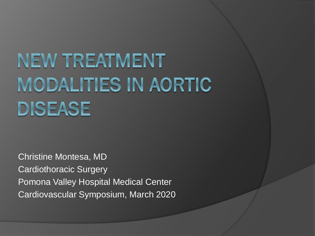## NEW TREATMENT **MODALITIES IN AORTIC** DISEASE

Christine Montesa, MD Cardiothoracic Surgery Pomona Valley Hospital Medical Center Cardiovascular Symposium, March 2020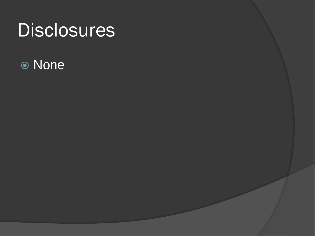#### **Disclosures**

#### ● None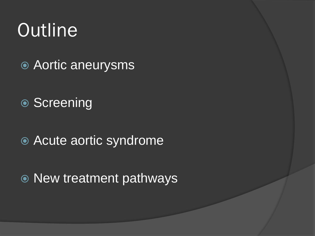## **Outline**

Aortic aneurysms

● Screening

Acute aortic syndrome

New treatment pathways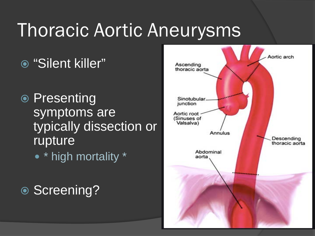## Thoracic Aortic Aneurysms

- "Silent killer"
- **■** Presenting symptoms are typically dissection or rupture
	- \* high mortality \*

● Screening?

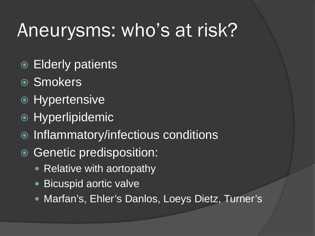## Aneurysms: who's at risk?

- Elderly patients
- **◎ Smokers**
- Hypertensive
- Hyperlipidemic
- **◎ Inflammatory/infectious conditions**
- Genetic predisposition:
	- Relative with aortopathy
	- Bicuspid aortic valve
	- Marfan's, Ehler's Danlos, Loeys Dietz, Turner's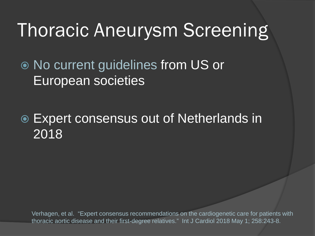#### Thoracic Aneurysm Screening

 No current guidelines from US or European societies

 Expert consensus out of Netherlands in 2018

Verhagen, et al. "Expert consensus recommendations on the cardiogenetic care for patients with thoracic aortic disease and their first-degree relatives." Int J Cardiol 2018 May 1; 258:243-8.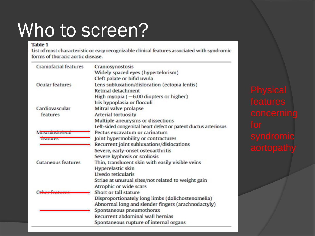# Who to screen?

List of most characteristic or easy recognizable clinical features associated with syndromic forms of thoracic aortic disease.

| <b>Craniofacial features</b> | Craniosynostosis                                               |
|------------------------------|----------------------------------------------------------------|
|                              | Widely spaced eyes (hypertelorism)                             |
|                              | Cleft palate or bifid uvula                                    |
| <b>Ocular features</b>       | Lens subluxation/dislocation (ectopia lentis)                  |
|                              | Retinal detachment                                             |
|                              | High myopia (-6.00 diopters or higher)                         |
|                              | Iris hypoplasia or flocculi                                    |
| Cardiovascular               | Mitral valve prolapse                                          |
| features                     | <b>Arterial tortuosity</b>                                     |
|                              | Multiple aneurysms or dissections                              |
|                              | Left-sided congenital heart defect or patent ductus arteriosus |
| Михеиюжкенем                 | Pectus excavatum or carinatum                                  |
| reatures                     | Joint hypermobility or contractures                            |
|                              | Recurrent joint subluxations/dislocations                      |
|                              | Severe, early-onset osteoarthritis                             |
|                              | Severe kyphosis or scoliosis                                   |
| <b>Cutaneous features</b>    | Thin, translucent skin with easily visible veins               |
|                              | Hyperelastic skin                                              |
|                              | Livedo reticularis                                             |
|                              | Striae at unusual sites/not related to weight gain             |
|                              | Atrophic or wide scars                                         |
|                              | Short or tall stature                                          |
|                              | Disproportionately long limbs (dolichostenomelia)              |
|                              | Abnormal long and slender fingers (arachnodactyly)             |
|                              | Spontaneous pneumothorax                                       |
|                              | Recurrent abdominal wall hernias                               |
|                              | Spontaneous rupture of internal organs                         |

aortopathy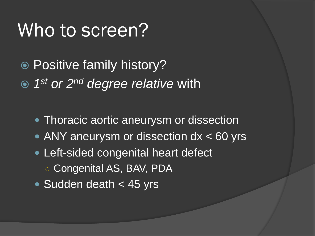#### Who to screen?

● Positive family history?

*1st or 2nd degree relative* with

• Thoracic aortic aneurysm or dissection

- ANY aneurysm or dissection  $dx < 60$  yrs
- Left-sided congenital heart defect ○ Congenital AS, BAV, PDA
- Sudden death < 45 yrs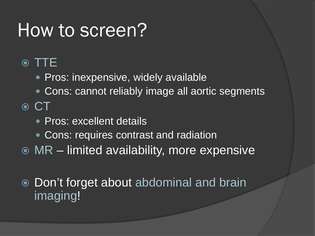### How to screen?

#### ⊙ TTE

- Pros: inexpensive, widely available
- Cons: cannot reliably image all aortic segments
- $\odot$  CT
	- Pros: excellent details
	- Cons: requires contrast and radiation
- MR limited availability, more expensive
- Don't forget about abdominal and brain imaging!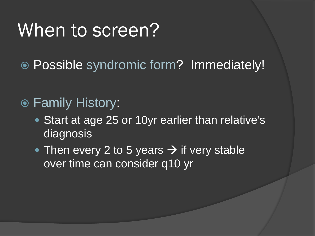#### When to screen?

Possible syndromic form? Immediately!

#### Family History:

- Start at age 25 or 10yr earlier than relative's diagnosis
- Then every 2 to 5 years  $\rightarrow$  if very stable over time can consider q10 yr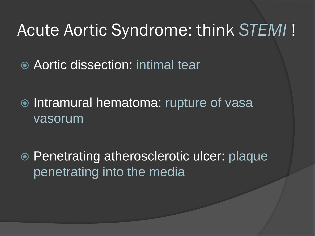#### Acute Aortic Syndrome: think *STEMI* !

Aortic dissection: intimal tear

 $\bullet$  Intramural hematoma: rupture of vasa vasorum

 Penetrating atherosclerotic ulcer: plaque penetrating into the media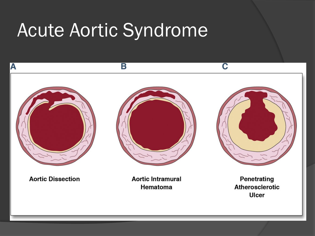## Acute Aortic Syndrome

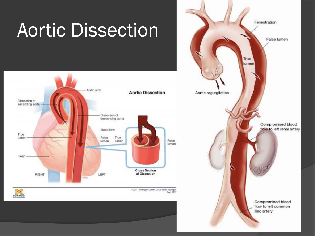## Aortic Dissection





@ 2011 The Regards of the University of Michigan April 2011

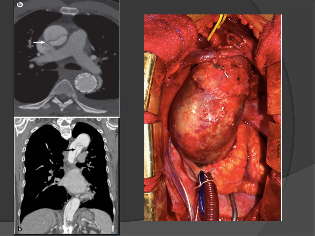

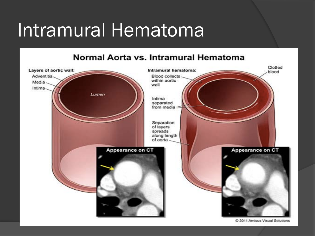#### Intramural Hematoma



2011 Amicus Visual Solutions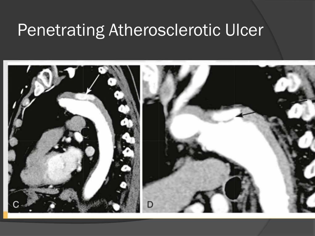#### Penetrating Atherosclerotic Ulcer

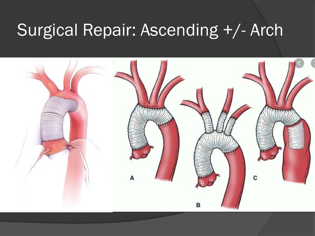#### Surgical Repair: Ascending +/- Arch

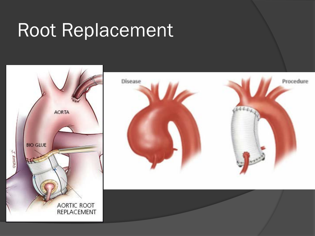#### Root Replacement



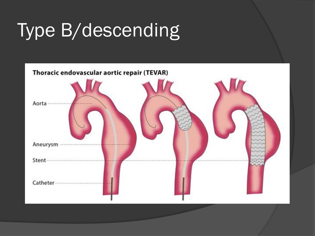## Type B/descending

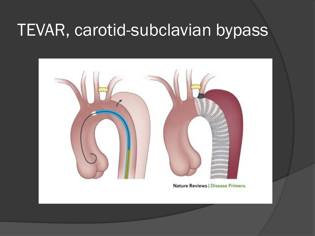#### TEVAR, carotid-subclavian bypass

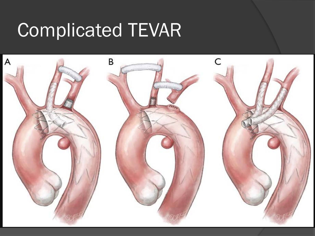#### Complicated TEVAR

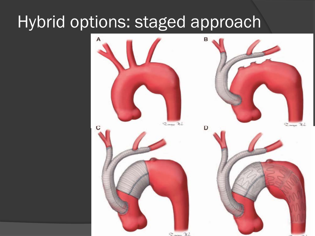#### Hybrid options: staged approach

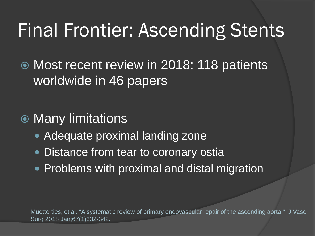## Final Frontier: Ascending Stents

 Most recent review in 2018: 118 patients worldwide in 46 papers

● Many limitations

- Adequate proximal landing zone
- Distance from tear to coronary ostia
- Problems with proximal and distal migration

Muetterties, et al. "A systematic review of primary endovascular repair of the ascending aorta." J Vasc Surg 2018 Jan;67(1)332-342.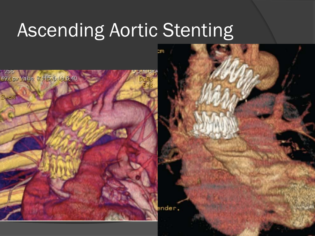### Ascending Aortic Stenting

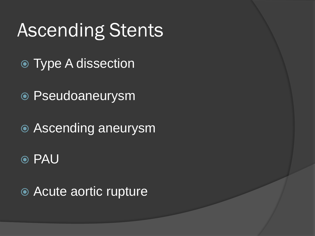## Ascending Stents

- Type A dissection
- Pseudoaneurysm
- Ascending aneurysm

#### PAU

Acute aortic rupture